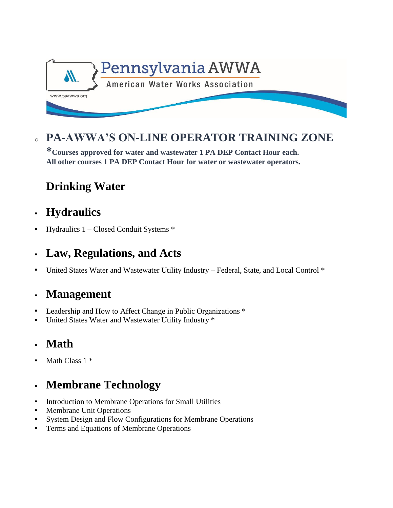

<sup>o</sup> **PA-AWWA'S ON-LINE OPERATOR TRAINING ZONE** 

**\*Courses approved for water and wastewater 1 PA DEP Contact Hour each. All other courses 1 PA DEP Contact Hour for water or wastewater operators.**

# **[Drinking](https://paawwa.360water.com/courses/516) Water**

- **[Hydraulics](https://paawwa.360water.com/courses/517)**
- Hydraulics 1 Closed Conduit Systems \*

# **[Law, Regulations, and Acts](https://paawwa.360water.com/courses/518)**

United States Water and Wastewater Utility Industry – Federal, State, and Local Control \*

### **[Management](https://paawwa.360water.com/courses/519)**

- Leadership and How to Affect Change in Public Organizations \*
- United States Water and Wastewater Utility Industry \*

### **[Math](https://paawwa.360water.com/courses/530)**

Math Class 1 \*

# **[Membrane Technology](https://paawwa.360water.com/courses/520)**

- Introduction to Membrane Operations for Small Utilities
- Membrane Unit Operations
- System Design and Flow Configurations for Membrane Operations
- **Terms and Equations of Membrane Operations**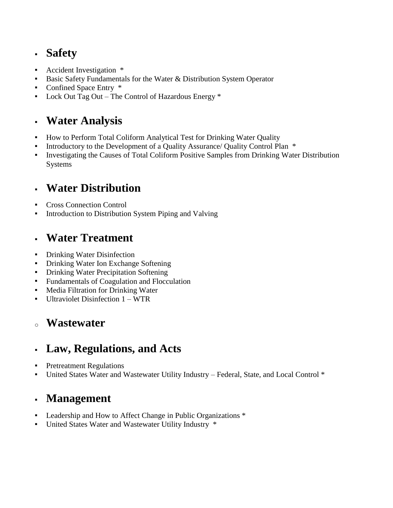### **[Safety](https://paawwa.360water.com/courses/521)**

- Accident Investigation \*
- Basic Safety Fundamentals for the Water & Distribution System Operator
- Confined Space Entry  $*$
- Lock Out Tag Out The Control of Hazardous Energy  $*$

### **[Water Analysis](https://paawwa.360water.com/courses/522)**

- How to Perform Total Coliform Analytical Test for Drinking Water Quality
- Introductory to the Development of a Quality Assurance/ Quality Control Plan  $*$
- Investigating the Causes of Total Coliform Positive Samples from Drinking Water Distribution Systems

### **[Water Distribution](https://paawwa.360water.com/courses/523)**

- Cross Connection Control
- Introduction to Distribution System Piping and Valving

### **[Water Treatment](https://paawwa.360water.com/courses/524)**

- Drinking Water Disinfection
- Drinking Water Ion Exchange Softening
- Drinking Water Precipitation Softening
- Fundamentals of Coagulation and Flocculation
- Media Filtration for Drinking Water
- Ultraviolet Disinfection 1 WTR

#### <sup>o</sup> **[Wastewater](https://paawwa.360water.com/courses/525)**

### **[Law, Regulations, and Acts](https://paawwa.360water.com/courses/10295)**

- Pretreatment Regulations
- United States Water and Wastewater Utility Industry Federal, State, and Local Control \*

### **[Management](https://paawwa.360water.com/courses/10297)**

- Leadership and How to Affect Change in Public Organizations \*
- United States Water and Wastewater Utility Industry \*